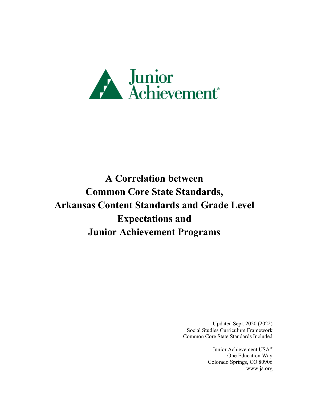

**A Correlation between Common Core State Standards, Arkansas Content Standards and Grade Level Expectations and Junior Achievement Programs**

> Updated Sept. 2020 (2022) Social Studies Curriculum Framework Common Core State Standards Included

> > Junior Achievement USA® One Education Way Colorado Springs, CO 80906 [www.ja.org](http://www.ja.org/)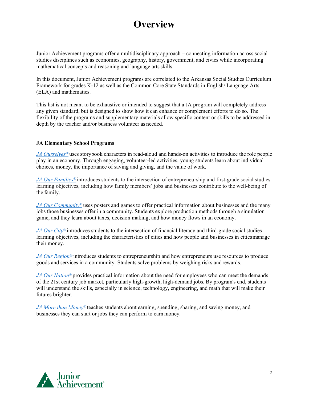#### **Overview**

Junior Achievement programs offer a multidisciplinary approach – connecting information across social studies disciplines such as economics, geography, history, government, and civics while incorporating mathematical concepts and reasoning and language artsskills.

In this document, Junior Achievement programs are correlated to the Arkansas Social Studies Curriculum Framework for grades K-12 as well as the Common Core State Standards in English/ Language Arts (ELA) and mathematics.

This list is not meant to be exhaustive or intended to suggest that a JA program will completely address any given standard, but is designed to show how it can enhance or complement efforts to do so. The flexibility of the programs and supplementary materials allow specific content or skills to be addressed in depth by the teacher and/or business volunteer as needed.

#### **JA Elementary School Programs**

*[JA Ourselves®](#page-2-0)* uses storybook characters in read-aloud and hands-on activities to introduce the role people play in an economy. Through engaging, volunteer-led activities, young students learn about individual choices, money, the importance of saving and giving, and the value of work.

*[JA Our Families®](#page-4-0)* introduces students to the intersection of entrepreneurship and first-grade social studies learning objectives, including how family members' jobs and businesses contribute to the well-being of the family.

*[JA Our Community®](#page-5-0)* uses posters and games to offer practical information about businesses and the many jobs those businesses offer in a community. Students explore production methods through a simulation game, and they learn about taxes, decision making, and how money flows in an economy.

*[JA Our City®](#page-8-0)* introduces students to the intersection of financial literacy and third-grade social studies learning objectives, including the characteristics of cities and how people and businesses in citiesmanage their money.

*[JA Our Region®](#page-10-0)* introduces students to entrepreneurship and how entrepreneurs use resources to produce goods and services in a community. Students solve problems by weighing risks and rewards.

*[JA Our Nation®](#page-11-0)* provides practical information about the need for employees who can meet the demands of the 21st century job market, particularly high-growth, high-demand jobs. By program's end, students will understand the skills, especially in science, technology, engineering, and math that will make their futures brighter.

*[JA More than Money®](#page-15-0)* teaches students about earning, spending, sharing, and saving money, and businesses they can start or jobs they can perform to earn money.

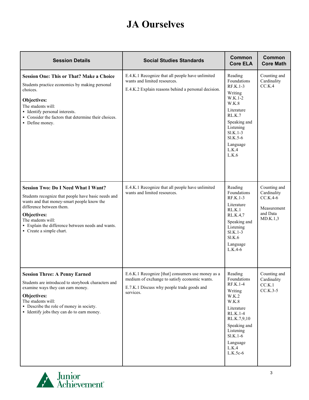#### **JA Ourselves**

<span id="page-2-0"></span>

| <b>Session Details</b>                                                                                                                                                                                                                                                                            | <b>Social Studies Standards</b>                                                                                                                               | <b>Common</b><br><b>Core ELA</b>                                                                                                                                                    | Common<br><b>Core Math</b>                                                       |
|---------------------------------------------------------------------------------------------------------------------------------------------------------------------------------------------------------------------------------------------------------------------------------------------------|---------------------------------------------------------------------------------------------------------------------------------------------------------------|-------------------------------------------------------------------------------------------------------------------------------------------------------------------------------------|----------------------------------------------------------------------------------|
| <b>Session One: This or That? Make a Choice</b><br>Students practice economics by making personal<br>choices.<br>Objectives:<br>The students will:<br>• Identify personal interests.<br>• Consider the factors that determine their choices.<br>• Define money.                                   | E.4.K.1 Recognize that all people have unlimited<br>wants and limited resources.<br>E.4.K.2 Explain reasons behind a personal decision.                       | Reading<br>Foundations<br>$RF.K.1-3$<br>Writing<br>W.K.1-2<br>W.K.8<br>Literature<br>RLK.7<br>Speaking and<br>Listening<br>$SLK.1-3$<br>Sl.K.5-6<br>Language<br>L.K.4<br>L.K.6      | Counting and<br>Cardinality<br>CC.K.4                                            |
| <b>Session Two: Do I Need What I Want?</b><br>Students recognize that people have basic needs and<br>wants and that money-smart people know the<br>difference between them.<br>Objectives:<br>The students will:<br>• Explain the difference between needs and wants.<br>• Create a simple chart. | E.4.K.1 Recognize that all people have unlimited<br>wants and limited resources.                                                                              | Reading<br>Foundations<br>RF.K.1-3<br>Literature<br>RL.K.1<br>RL.K.4,7<br>Speaking and<br>Listening<br>$SLK.1-3$<br>Sl.K.6<br>Language<br>L.K.4-6                                   | Counting and<br>Cardinality<br>$CC.K.4-6$<br>Measurement<br>and Data<br>MD.K.1,3 |
| <b>Session Three: A Penny Earned</b><br>Students are introduced to storybook characters and<br>examine ways they can earn money.<br>Objectives:<br>The students will:<br>• Describe the role of money in society.<br>• Identify jobs they can do to earn money.                                   | E.6.K.1 Recognize [that] consumers use money as a<br>medium of exchange to satisfy economic wants.<br>E.7.K.1 Discuss why people trade goods and<br>services. | Reading<br>Foundations<br>RF.K.1-4<br>Writing<br>W.K.2<br>W.K.8<br>Literature<br>RL.K.1-4<br>RL.K.7,9,10<br>Speaking and<br>Listening<br>$SLK.1-6$<br>Language<br>L.K.4<br>L.K.5c-6 | Counting and<br>Cardinality<br>CC.K.1<br>$CC.K.3-5$                              |

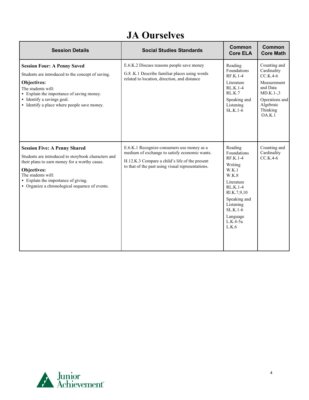#### **JA Ourselves**

| <b>Session Details</b>                                                                                                                                                                                                                                                    | <b>Social Studies Standards</b>                                                                                                                                                                    | Common<br><b>Core ELA</b>                                                                                                                                                               | Common<br><b>Core Math</b>                                                                                                               |
|---------------------------------------------------------------------------------------------------------------------------------------------------------------------------------------------------------------------------------------------------------------------------|----------------------------------------------------------------------------------------------------------------------------------------------------------------------------------------------------|-----------------------------------------------------------------------------------------------------------------------------------------------------------------------------------------|------------------------------------------------------------------------------------------------------------------------------------------|
| <b>Session Four: A Penny Saved</b><br>Students are introduced to the concept of saving.<br>Objectives:<br>The students will:<br>• Explain the importance of saving money.<br>• Identify a savings goal.<br>• Identify a place where people save money.                    | E.6.K.2 Discuss reasons people save money<br>G.8 .K.1 Describe familiar places using words<br>related to location, direction, and distance                                                         | Reading<br>Foundations<br>$RF.K.1-4$<br>Literature<br>$RL.K.1-4$<br>RL.K.7<br>Speaking and<br>Listening<br>SL.K.1-6                                                                     | Counting and<br>Cardinality<br>$CC.K.4-6$<br>Measurement<br>and Data<br>$MD.K.1-.3$<br>Operations and<br>Algebraic<br>Thinking<br>OA.K.1 |
| <b>Session Five: A Penny Shared</b><br>Students are introduced to storybook characters and<br>their plans to earn money for a worthy cause.<br>Objectives:<br>The students will:<br>• Explain the importance of giving.<br>• Organize a chronological sequence of events. | E.6.K.1 Recognize consumers use money as a<br>medium of exchange to satisfy economic wants.<br>H.12.K.3 Compare a child's life of the present<br>to that of the past using visual representations. | Reading<br>Foundations<br>RF.K.1-4<br>Writing<br>W.K.1<br>W.K.8<br>Literature<br>$RL.K.1-4$<br>Rl.K.7,9,10<br>Speaking and<br>Listening<br>$SLK.1-6$<br>Language<br>$L.K.4-5a$<br>L.K.6 | Counting and<br>Cardinality<br>$CC.K.4-6$                                                                                                |

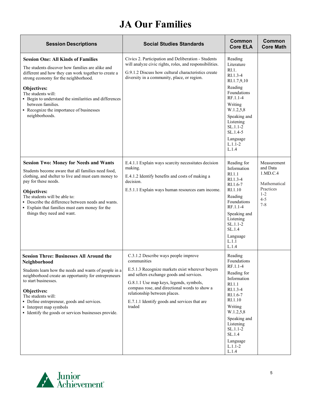## **JA Our Families**

<span id="page-4-0"></span>

| <b>Session Descriptions</b>                                                                                                                                                                                                                                                                                                                                                     | <b>Social Studies Standards</b>                                                                                                                                                                                                                                                                                                          | Common<br><b>Core ELA</b>                                                                                                                                                                                                      | Common<br><b>Core Math</b>                                                                        |
|---------------------------------------------------------------------------------------------------------------------------------------------------------------------------------------------------------------------------------------------------------------------------------------------------------------------------------------------------------------------------------|------------------------------------------------------------------------------------------------------------------------------------------------------------------------------------------------------------------------------------------------------------------------------------------------------------------------------------------|--------------------------------------------------------------------------------------------------------------------------------------------------------------------------------------------------------------------------------|---------------------------------------------------------------------------------------------------|
| <b>Session One: All Kinds of Families</b><br>The students discover how families are alike and<br>different and how they can work together to create a<br>strong economy for the neighborhood.<br>Objectives:<br>The students will:<br>• Begin to understand the similarities and differences<br>between families.<br>• Recognize the importance of businesses<br>neighborhoods. | Civics 2. Participation and Deliberation - Students<br>will analyze civic rights, roles, and responsibilities.<br>G.9.1.2 Discuss how cultural characteristics create<br>diversity in a community, place, or region.                                                                                                                     | Reading<br>Literature<br>$RI.1$ .<br>$RI.1.3-4$<br>RI.1.7,9,10<br>Reading<br>Foundations<br>RF.1.1-4<br>Writing<br>W.1.2,5,8<br>Speaking and<br>Listening<br>$SL.1.1-2$<br>SL.1.4-5<br>Language<br>$L.1.1 - 2$<br>L.1.4        |                                                                                                   |
| <b>Session Two: Money for Needs and Wants</b><br>Students become aware that all families need food,<br>clothing, and shelter to live and must earn money to<br>pay for these needs.<br>Objectives:<br>The students will be able to:<br>• Describe the difference between needs and wants.<br>• Explain that families must earn money for the<br>things they need and want.      | E.4.1.1 Explain ways scarcity necessitates decision<br>making.<br>E.4.1.2 Identify benefits and costs of making a<br>decision.<br>E.5.1.1 Explain ways human resources earn income.                                                                                                                                                      | Reading for<br>Information<br>RI.1.1<br>$RI.1.3-4$<br>$RI.1.6-7$<br>RI.1.10<br>Reading<br>Foundations<br>RF.1.1-4<br>Speaking and<br>Listening<br>SL.1.1-2<br>SL.1.4<br>Language<br>L.1.1<br>L.1.4                             | Measurement<br>and Data<br>1.MD.C.4<br>Mathematical<br>Practices<br>$1 - 2$<br>$4 - 5$<br>$7 - 8$ |
| <b>Session Three: Businesses All Around the</b><br>Neighborhood<br>Students learn how the needs and wants of people in a<br>neighborhood create an opportunity for entrepreneurs<br>to start businesses.<br>Objectives:<br>The students will:<br>• Define entrepreneur, goods and services.<br>• Interpret map symbols<br>• Identify the goods or services businesses provide.  | C.3.1.2 Describe ways people improve<br>communities<br>E.5.1.3 Recognize markets exist wherever buyers<br>and sellers exchange goods and services.<br>G.8.1.1 Use map keys, legends, symbols,<br>compass rose, and directional words to show a<br>relationship between places.<br>E.7.1.1 Identify goods and services that are<br>traded | Reading<br>Foundations<br>RF.1.1-4<br>Reading for<br>Information<br>RI.1.1<br>RI.1.3-4<br>RI.1.6-7<br>RI.1.10<br>Writing<br>W.1.2,5,8<br>Speaking and<br>Listening<br>$SL.1.1-2$<br>SL.1.4<br>Language<br>$L.1.1 - 2$<br>L.1.4 |                                                                                                   |

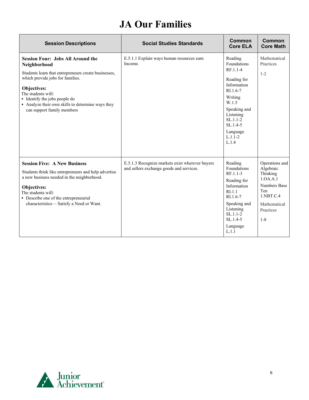#### **JA Our Families**

| <b>Session Descriptions</b>                                                                                                                                                                                                                                                                                   | <b>Social Studies Standards</b>                                                             | Common<br><b>Core ELA</b>                                                                                                                                                                       | Common<br><b>Core Math</b>                                                                                                                   |
|---------------------------------------------------------------------------------------------------------------------------------------------------------------------------------------------------------------------------------------------------------------------------------------------------------------|---------------------------------------------------------------------------------------------|-------------------------------------------------------------------------------------------------------------------------------------------------------------------------------------------------|----------------------------------------------------------------------------------------------------------------------------------------------|
| <b>Session Four: Jobs All Around the</b><br>Neighborhood<br>Students learn that entrepreneurs create businesses,<br>which provide jobs for families.<br>Objectives:<br>The students will:<br>• Identify the jobs people do<br>• Analyze their own skills to determine ways they<br>can support family members | E.5.1.1 Explain ways human resources earn<br>Income.                                        | Reading<br>Foundations<br>RF.1.1-4<br>Reading for<br>Information<br>$RI.1.6-7$<br>Writing<br>W.1.5<br>Speaking and<br>Listening<br>$SL.1.1-2$<br>$SL.1.4-5$<br>Language<br>$L.1.1 - 2$<br>L.1.4 | Mathematical<br>Practices<br>$1 - 2$                                                                                                         |
| <b>Session Five: A New Business</b><br>Students think like entrepreneurs and help advertise<br>a new business needed in the neighborhood.<br>Objectives:<br>The students will:<br>• Describe one of the entrepreneurial<br>characteristics—Satisfy a Need or Want.                                            | E.5.1.3 Recognize markets exist wherever buyers<br>and sellers exchange goods and services. | Reading<br>Foundations<br>$RF.1.1-3$<br>Reading for<br>Information<br>R <sub>L</sub> 1.1<br>RI.1.6-7<br>Speaking and<br>Listening<br>$SL.1.1-2$<br>$SL.1.4-5$<br>Language<br>L.1.1              | Operations and<br>Algebraic<br>Thinking<br>1.0A.A.1<br><b>Numbers Base</b><br>Ten<br>$1.$ NBT $.C.4$<br>Mathematical<br>Practices<br>$1 - 8$ |

<span id="page-5-0"></span>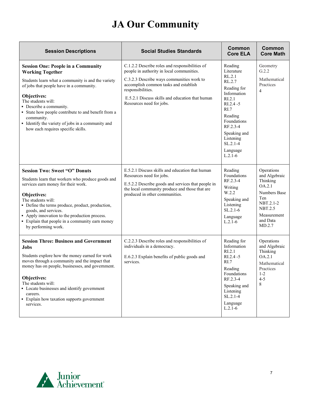# **JA Our Community**

| <b>Session Descriptions</b>                                                                                                                                                                                                                                                                                                                                                                            | <b>Social Studies Standards</b>                                                                                                                                                                                                                                                       | Common<br><b>Core ELA</b>                                                                                                                                                                                          | Common<br><b>Core Math</b>                                                                                                                   |
|--------------------------------------------------------------------------------------------------------------------------------------------------------------------------------------------------------------------------------------------------------------------------------------------------------------------------------------------------------------------------------------------------------|---------------------------------------------------------------------------------------------------------------------------------------------------------------------------------------------------------------------------------------------------------------------------------------|--------------------------------------------------------------------------------------------------------------------------------------------------------------------------------------------------------------------|----------------------------------------------------------------------------------------------------------------------------------------------|
| <b>Session One: People in a Community</b><br><b>Working Together</b><br>Students learn what a community is and the variety<br>of jobs that people have in a community.<br>Objectives:<br>The students will:<br>• Describe a community.<br>• State how people contribute to and benefit from a<br>community.<br>· Identify the variety of jobs in a community and<br>how each requires specific skills. | C.1.2.2 Describe roles and responsibilities of<br>people in authority in local communities.<br>C.3.2.3 Describe ways communities work to<br>accomplish common tasks and establish<br>responsibilities.<br>E.5.2.1 Discuss skills and education that human<br>Resources need for jobs. | Reading<br>Literature<br>RL.2.1<br>RL.2.7<br>Reading for<br>Information<br>RI.2.1<br>RI.2.4 -5<br>RI.7<br>Reading<br>Foundations<br>RF.2.3-4<br>Speaking and<br>Listening<br>$SL.2.1 - 4$<br>Language<br>$L.2.1-6$ | Geometry<br>G.2.2<br>Mathematical<br>Practices<br>$\overline{4}$                                                                             |
| <b>Session Two: Sweet "O" Donuts</b><br>Students learn that workers who produce goods and<br>services earn money for their work.<br>Objectives:<br>The students will:<br>• Define the terms produce, product, production,<br>goods, and services.<br>• Apply innovation to the production process.<br>• Explain that people in a community earn money<br>by performing work.                           | E.5.2.1 Discuss skills and education that human<br>Resources need for jobs.<br>E.5.2.2 Describe goods and services that people in<br>the local community produce and those that are<br>produced in other communities.                                                                 | Reading<br>Foundations<br>RF.2.3-4<br>Writing<br>W.2.2<br>Speaking and<br>Listening<br>$SL.2.1-6$<br>Language<br>$L.2.1-6$                                                                                         | Operations<br>and Algebraic<br>Thinking<br>OA.2.1<br>Numbers Base<br>Ten<br>NBT.2.1-2<br><b>NBT.2.5</b><br>Measurement<br>and Data<br>MD.2.7 |
| <b>Session Three: Business and Government</b><br>Jobs<br>Students explore how the money earned for work<br>moves through a community and the impact that<br>money has on people, businesses, and government.<br>Objectives:<br>The students will:<br>• Locate businesses and identify government<br>careers.<br>• Explain how taxation supports government<br>services.                                | C.2.2.3 Describe roles and responsibilities of<br>individuals in a democracy.<br>E.6.2.3 Explain benefits of public goods and<br>services.                                                                                                                                            | Reading for<br>Information<br>RI.2.1<br>RI.2.4 -5<br>RI.7<br>Reading<br>Foundations<br>RF.2.3-4<br>Speaking and<br>Listening<br>$SL.2.1-4$<br>Language<br>$L.2.1-6$                                                | Operations<br>and Algebraic<br>Thinking<br>OA.2.1<br>Mathematical<br>Practices<br>$1 - 2$<br>$4 - 5$<br>8                                    |

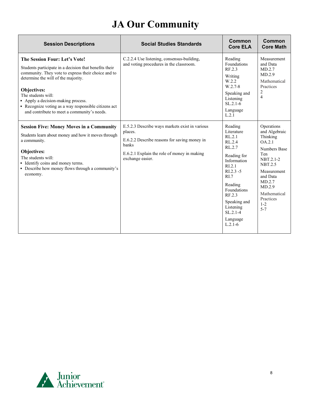# **JA Our Community**

| <b>Session Descriptions</b>                                                                                                                                                                                                                                                                                                                                           | <b>Social Studies Standards</b>                                                                                                                                                              | Common<br><b>Core ELA</b>                                                                                                                                                                                                               | Common<br><b>Core Math</b>                                                                                                                                                                                |
|-----------------------------------------------------------------------------------------------------------------------------------------------------------------------------------------------------------------------------------------------------------------------------------------------------------------------------------------------------------------------|----------------------------------------------------------------------------------------------------------------------------------------------------------------------------------------------|-----------------------------------------------------------------------------------------------------------------------------------------------------------------------------------------------------------------------------------------|-----------------------------------------------------------------------------------------------------------------------------------------------------------------------------------------------------------|
| The Session Four: Let's Vote!<br>Students participate in a decision that benefits their<br>community. They vote to express their choice and to<br>determine the will of the majority.<br>Objectives:<br>The students will:<br>• Apply a decision-making process.<br>Recognize voting as a way responsible citizens act<br>and contribute to meet a community's needs. | C.2.2.4 Use listening, consensus-building,<br>and voting procedures in the classroom.                                                                                                        | Reading<br>Foundations<br>RF.2.3<br>Writing<br>W.2.2<br>W.2.7-8<br>Speaking and<br>Listening<br>$SL.2.1-6$<br>Language<br>L.2.1                                                                                                         | Measurement<br>and Data<br>MD.2.7<br>MD.2.9<br>Mathematical<br>Practices<br>$\overline{2}$<br>$\overline{4}$                                                                                              |
| <b>Session Five: Money Moves in a Community</b><br>Students learn about money and how it moves through<br>a community.<br>Objectives:<br>The students will:<br>• Identify coins and money terms.<br>• Describe how money flows through a community's<br>economy.                                                                                                      | E.5.2.3 Describe ways markets exist in various<br>places.<br>E.6.2.2 Describe reasons for saving money in<br><b>banks</b><br>E.6.2.1 Explain the role of money in making<br>exchange easier. | Reading<br>Literature<br>RL.2.1<br>RL.2.4<br>RL.2.7<br>Reading for<br>Information<br>RI.2.1<br>$R1.2.3 - 5$<br>R <sub>L</sub> 7<br>Reading<br>Foundations<br>RF.2.3<br>Speaking and<br>Listening<br>$SL.2.1-4$<br>Language<br>$L.2.1-6$ | Operations<br>and Algebraic<br>Thinking<br>OA.2.1<br>Numbers Base<br>Ten<br>NBT.2.1-2<br><b>NBT.2.5</b><br>Measurement<br>and Data<br>MD.2.7<br>MD.2.9<br>Mathematical<br>Practices<br>$1 - 2$<br>$5 - 7$ |

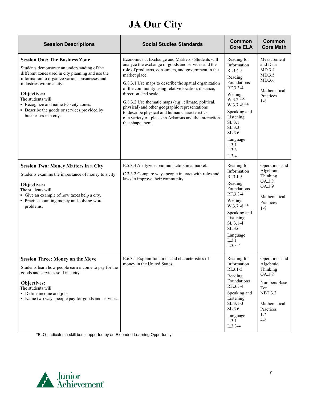# **JA Our City**

<span id="page-8-0"></span>

| <b>Session Descriptions</b>                                                                                                                                                                                                                                                                                                                                                   | <b>Social Studies Standards</b>                                                                                                                                                                                                                                                                                                                                                                                                                                                                                                                                     | Common<br><b>Core ELA</b>                                                                                                                                                                                                     | Common<br><b>Core Math</b>                                                                                                                    |
|-------------------------------------------------------------------------------------------------------------------------------------------------------------------------------------------------------------------------------------------------------------------------------------------------------------------------------------------------------------------------------|---------------------------------------------------------------------------------------------------------------------------------------------------------------------------------------------------------------------------------------------------------------------------------------------------------------------------------------------------------------------------------------------------------------------------------------------------------------------------------------------------------------------------------------------------------------------|-------------------------------------------------------------------------------------------------------------------------------------------------------------------------------------------------------------------------------|-----------------------------------------------------------------------------------------------------------------------------------------------|
| <b>Session One: The Business Zone</b><br>Students demonstrate an understanding of the<br>different zones used in city planning and use the<br>information to organize various businesses and<br>industries within a city.<br>Objectives:<br>The students will:<br>Recognize and name two city zones.<br>• Describe the goods or services provided by<br>businesses in a city. | Economics 5. Exchange and Markets - Students will<br>analyze the exchange of goods and services and the<br>role of producers, consumers, and government in the<br>market place.<br>G.8.3.1 Use maps to describe the spatial organization<br>of the community using relative location, distance,<br>direction, and scale.<br>G.8.3.2 Use thematic maps (e.g., climate, political,<br>physical) and other geographic representations<br>to describe physical and human characteristics<br>of a variety of places in Arkansas and the interactions<br>that shape them. | Reading for<br>Information<br>RI.3.4-5<br>Reading<br>Foundations<br>RF.3.3-4<br>Writing<br>$W.3.2$ ELO<br>$W.3.7 - 8^{ELO}$<br>Speaking and<br>Listening<br>SL.3.1<br>SL.3.3<br>SL.3.6<br>Language<br>L.3.1<br>L.3.3<br>L.3.4 | Measurement<br>and Data<br>MD.3.4<br>MD.3.5<br>MD.3.6<br>Mathematical<br>Practices<br>$1 - 8$                                                 |
| <b>Session Two: Money Matters in a City</b><br>Students examine the importance of money to a city<br>Objectives:<br>The students will:<br>• Give an example of how taxes help a city.<br>• Practice counting money and solving word<br>problems.                                                                                                                              | E.5.3.3 Analyze economic factors in a market.<br>C.3.3.2 Compare ways people interact with rules and<br>laws to improve their community                                                                                                                                                                                                                                                                                                                                                                                                                             | Reading for<br>Information<br>RI.3.1-5<br>Reading<br>Foundations<br>RF.3.3-4<br>Writing<br>$W.3.7 - 8ELO$<br>Speaking and<br>Listening<br>$SL.3.1-4$<br>SL.3.6<br>Language<br>L.3.1<br>$L.3.3-4$                              | Operations and<br>Algebraic<br>Thinking<br>OA.3.8<br>OA.3.9<br>Mathematical<br>Practices<br>$1 - 8$                                           |
| <b>Session Three: Money on the Move</b><br>Students learn how people earn income to pay for the<br>goods and services sold in a city.<br>Objectives:<br>The students will:<br>• Define income and jobs.<br>• Name two ways people pay for goods and services.                                                                                                                 | E.6.3.1 Explain functions and characteristics of<br>money in the United States.                                                                                                                                                                                                                                                                                                                                                                                                                                                                                     | Reading for<br>Information<br>$R1.3.1-5$<br>Reading<br>Foundations<br>RF.3.3-4<br>Speaking and<br>Listening<br>$SL.3.1-3$<br>SL.3.6<br>Language<br>L.3.1<br>$L.3.3-4$                                                         | Operations and<br>Algebraic<br>Thinking<br>OA.3.8<br>Numbers Base<br>Ten<br><b>NBT.3.2</b><br>Mathematical<br>Practices<br>$1 - 2$<br>$4 - 8$ |

\*ELO- Indicates a skill best supported by an Extended Learning Opportunity

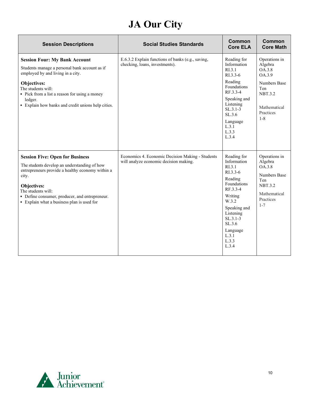# **JA Our City**

| <b>Session Descriptions</b>                                                                                                                                                                                                                                                              | <b>Social Studies Standards</b>                                                            | Common<br><b>Core ELA</b>                                                                                                                                                                                   | Common<br><b>Core Math</b>                                                                                                 |
|------------------------------------------------------------------------------------------------------------------------------------------------------------------------------------------------------------------------------------------------------------------------------------------|--------------------------------------------------------------------------------------------|-------------------------------------------------------------------------------------------------------------------------------------------------------------------------------------------------------------|----------------------------------------------------------------------------------------------------------------------------|
| <b>Session Four: My Bank Account</b><br>Students manage a personal bank account as if<br>employed by and living in a city.                                                                                                                                                               | E.6.3.2 Explain functions of banks (e.g., saving,<br>checking, loans, investments).        | Reading for<br>Information<br>RI.3.1<br>RI.3.3-6<br>Reading                                                                                                                                                 | Operations in<br>Algebra<br>OA.3.8<br>OA.3.9<br><b>Numbers Base</b>                                                        |
| Objectives:<br>The students will:<br>• Pick from a list a reason for using a money<br>ledger.                                                                                                                                                                                            |                                                                                            | Foundations<br>RF.3.3-4<br>Speaking and                                                                                                                                                                     | Ten<br><b>NBT.3.2</b>                                                                                                      |
| • Explain how banks and credit unions help cities.                                                                                                                                                                                                                                       |                                                                                            | Listening<br>$SL.3.1-3$<br>SL.3.6<br>Language                                                                                                                                                               | Mathematical<br>Practices<br>$1 - 8$                                                                                       |
|                                                                                                                                                                                                                                                                                          |                                                                                            | L.3.1<br>L.3.3<br>L.3.4                                                                                                                                                                                     |                                                                                                                            |
| <b>Session Five: Open for Business</b><br>The students develop an understanding of how<br>entrepreneurs provide a healthy economy within a<br>city.<br>Objectives:<br>The students will:<br>• Define consumer, producer, and entrepreneur.<br>• Explain what a business plan is used for | Economics 4. Economic Decision Making - Students<br>will analyze economic decision making. | Reading for<br>Information<br>R <sub>L</sub> 3.1<br>$R1.3.3-6$<br>Reading<br>Foundations<br>RF.3.3-4<br>Writing<br>W.3.2<br>Speaking and<br>Listening<br>$SL.3.1-3$<br>SL.3.6<br>Language<br>L.3.1<br>L.3.3 | Operations in<br>Algebra<br>OA.3.8<br><b>Numbers Base</b><br>Ten<br><b>NBT.3.2</b><br>Mathematical<br>Practices<br>$1 - 7$ |
|                                                                                                                                                                                                                                                                                          |                                                                                            | L.3.4                                                                                                                                                                                                       |                                                                                                                            |

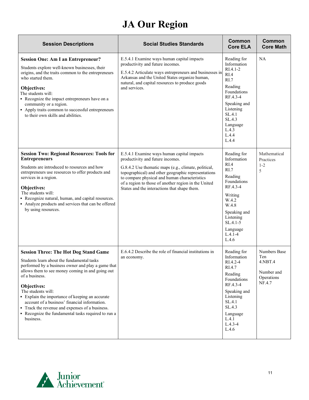# **JA Our Region**

<span id="page-10-0"></span>

| <b>Session Descriptions</b>                                                                                                                                                                                                                                                                                                                                                                                                                                                            | <b>Social Studies Standards</b>                                                                                                                                                                                                                                                                                                                        | Common<br><b>Core ELA</b>                                                                                                                                                                      | Common<br><b>Core Math</b>                                           |
|----------------------------------------------------------------------------------------------------------------------------------------------------------------------------------------------------------------------------------------------------------------------------------------------------------------------------------------------------------------------------------------------------------------------------------------------------------------------------------------|--------------------------------------------------------------------------------------------------------------------------------------------------------------------------------------------------------------------------------------------------------------------------------------------------------------------------------------------------------|------------------------------------------------------------------------------------------------------------------------------------------------------------------------------------------------|----------------------------------------------------------------------|
| <b>Session One: Am I an Entrepreneur?</b><br>Students explore well-known businesses, their<br>origins, and the traits common to the entrepreneurs<br>who started them.<br>Objectives:<br>The students will:<br>• Recognize the impact entrepreneurs have on a<br>community or a region.<br>• Apply traits common to successful entrepreneurs<br>to their own skills and abilities.                                                                                                     | E.5.4.1 Examine ways human capital impacts<br>productivity and future incomes.<br>E.5.4.2 Articulate ways entrepreneurs and businesses in<br>Arkansas and the United States organize human,<br>natural, and capital resources to produce goods<br>and services.                                                                                        | Reading for<br>Information<br>$RI.4.1-2$<br>RIA<br>RI.7<br>Reading<br>Foundations<br>RF.4.3-4<br>Speaking and<br>Listening<br>SL.4.1<br>SL.4.3<br>Language<br>L.4.3<br>L.4.4<br>L.4.4          | NA                                                                   |
| <b>Session Two: Regional Resources: Tools for</b><br><b>Entrepreneurs</b><br>Students are introduced to resources and how<br>entrepreneurs use resources to offer products and<br>services in a region.<br>Objectives:<br>The students will:<br>Recognize natural, human, and capital resources.<br>• Analyze products and services that can be offered<br>by using resources.                                                                                                         | E.5.4.1 Examine ways human capital impacts<br>productivity and future incomes.<br>G.8.4.2 Use thematic maps (e.g., climate, political,<br>topographical) and other geographic representations<br>to compare physical and human characteristics<br>of a region to those of another region in the United<br>States and the interactions that shape them. | Reading for<br>Information<br>RI.4<br>RI.7<br>Reading<br>Foundations<br>RF.4.3-4<br>Writing<br>W.4.2<br>W.4.8<br>Speaking and<br>Listening<br>$SL.4.1 - 5$<br>Language<br>$L.4.1 - 4$<br>L.4.6 | Mathematical<br>Practices<br>$1 - 2$<br>5                            |
| <b>Session Three: The Hot Dog Stand Game</b><br>Students learn about the fundamental tasks<br>performed by a business owner and play a game that<br>allows them to see money coming in and going out<br>of a business.<br>Objectives:<br>The students will:<br>• Explain the importance of keeping an accurate<br>account of a business' financial information.<br>• Track the revenue and expenses of a business.<br>• Recognize the fundamental tasks required to run a<br>business. | E.6.4.2 Describe the role of financial institutions in<br>an economy.                                                                                                                                                                                                                                                                                  | Reading for<br>Information<br>RI.4.2-4<br>RI.4.7<br>Reading<br>Foundations<br>RF.4.3-4<br>Speaking and<br>Listening<br>SL.4.1<br>SL.4.3<br>Language<br>L.4.1<br>$L.4.3 - 4$<br>L.4.6           | Numbers Base<br>Ten<br>4.NBT.4<br>Number and<br>Operations<br>NF.4.7 |

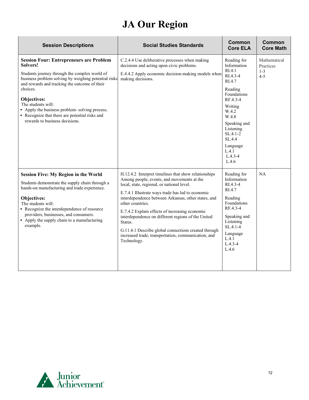# **JA Our Region**

| <b>Session Descriptions</b>                                                                                                                                                                                                                                                                                                                                                                                | <b>Social Studies Standards</b>                                                                                                                                                                                                                                                                                                                                                                                                                                                                                                   | Common<br><b>Core ELA</b>                                                                                                                                                                                                           | Common<br><b>Core Math</b>                      |
|------------------------------------------------------------------------------------------------------------------------------------------------------------------------------------------------------------------------------------------------------------------------------------------------------------------------------------------------------------------------------------------------------------|-----------------------------------------------------------------------------------------------------------------------------------------------------------------------------------------------------------------------------------------------------------------------------------------------------------------------------------------------------------------------------------------------------------------------------------------------------------------------------------------------------------------------------------|-------------------------------------------------------------------------------------------------------------------------------------------------------------------------------------------------------------------------------------|-------------------------------------------------|
| <b>Session Four: Entrepreneurs are Problem</b><br>Solvers!<br>Students journey through the complex world of<br>business problem solving by weighing potential risks<br>and rewards and tracking the outcome of their<br>choices.<br>Objectives:<br>The students will:<br>• Apply the business problem-solving process.<br>• Recognize that there are potential risks and<br>rewards to business decisions. | C.2.4.4 Use deliberative processes when making<br>decisions and acting upon civic problems.<br>E.4.4.2 Apply economic decision-making models when<br>making decisions.                                                                                                                                                                                                                                                                                                                                                            | Reading for<br>Information<br>RIA.1<br>RI.4.3-4<br>RI.4.7<br>Reading<br><b>Foundations</b><br>RF.4.3-4<br>Writing<br>W.4.2<br>W.4.8<br>Speaking and<br>Listening<br>$SL.4.1-2$<br>SL.4.4<br>Language<br>L.4.1<br>$L.4.3-4$<br>L.4.6 | Mathematical<br>Practices<br>$1 - 3$<br>$4 - 5$ |
| <b>Session Five: My Region in the World</b><br>Students demonstrate the supply chain through a<br>hands-on manufacturing and trade experience.<br>Objectives:<br>The students will:<br>• Recognize the interdependence of resource<br>providers, businesses, and consumers.<br>• Apply the supply chain to a manufacturing<br>example.                                                                     | H.12.4.2 Interpret timelines that show relationships<br>Among people, events, and movements at the<br>local, state, regional, or national level.<br>E.7.4.1 Illustrate ways trade has led to economic<br>interdependence between Arkansas, other states, and<br>other countries.<br>E.7.4.2 Explain effects of increasing economic<br>interdependence on different regions of the United<br>States.<br>G.11.4.1 Describe global connections created through<br>increased trade, transportation, communication, and<br>Technology. | Reading for<br>Information<br>$RL4.3-4$<br>RI.4.7<br>Reading<br>Foundations<br>RF.4.3-4<br>Speaking and<br>Listening<br>SL.4.1-4<br>Language<br>L.4.1<br>$L.4.3 - 4$<br>L.4.6                                                       | <b>NA</b>                                       |

<span id="page-11-0"></span>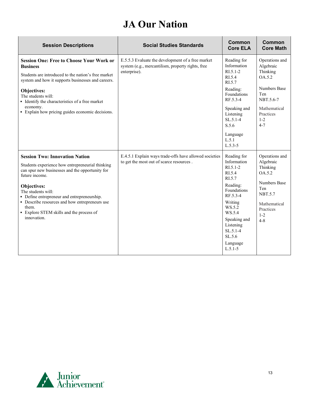## **JA Our Nation**

| <b>Session Descriptions</b>                                                                                                                                                                                                                                                                                                                                              | <b>Social Studies Standards</b>                                                                                        | Common<br><b>Core ELA</b>                                                                                                                                                                                          | Common<br><b>Core Math</b>                                                                                                                           |
|--------------------------------------------------------------------------------------------------------------------------------------------------------------------------------------------------------------------------------------------------------------------------------------------------------------------------------------------------------------------------|------------------------------------------------------------------------------------------------------------------------|--------------------------------------------------------------------------------------------------------------------------------------------------------------------------------------------------------------------|------------------------------------------------------------------------------------------------------------------------------------------------------|
| <b>Session One: Free to Choose Your Work or</b><br><b>Business</b><br>Students are introduced to the nation's free market<br>system and how it supports businesses and careers.<br>Objectives:<br>The students will:<br>• Identify the characteristics of a free market<br>economy.<br>• Explain how pricing guides economic decisions.                                  | E.5.5.3 Evaluate the development of a free market<br>system (e.g., mercantilism, property rights, free<br>enterprise). | Reading for<br>Information<br>$R1.5.1-2$<br>RI.5.4<br>RI.5.7<br>Reading:<br>Foundations<br>RF.5.3-4<br>Speaking and<br>Listening<br>$SL.5.1-4$<br>S.5.6<br>Language<br>L.5.1<br>$L.5.3-5$                          | Operations and<br>Algebraic<br>Thinking<br>OA.5.2<br><b>Numbers Base</b><br>Ten<br>NBT.5.6-7<br>Mathematical<br>Practices<br>$1 - 2$<br>$4 - 7$      |
| <b>Session Two: Innovation Nation</b><br>Students experience how entrepreneurial thinking<br>can spur new businesses and the opportunity for<br>future income.<br>Objectives:<br>The students will:<br>• Define entrepreneur and entrepreneurship.<br>• Describe resources and how entrepreneurs use<br>them.<br>• Explore STEM skills and the process of<br>innovation. | E.4.5.1 Explain ways trade-offs have allowed societies<br>to get the most out of scarce resources.                     | Reading for<br>Information<br>$R1.5.1-2$<br>RI.5.4<br>RI.5.7<br>Reading:<br>Foundations<br>RF.5.3-4<br>Writing<br>WS.5.2<br>WS.5.4<br>Speaking and<br>Listening<br>$SL.5.1-4$<br>SL.5.6<br>Language<br>$L.5.1 - 5$ | Operations and<br>Algebraic<br>Thinking<br>OA.5.2<br><b>Numbers Base</b><br>Ten<br><b>NBT.5.7</b><br>Mathematical<br>Practices<br>$1 - 2$<br>$4 - 8$ |

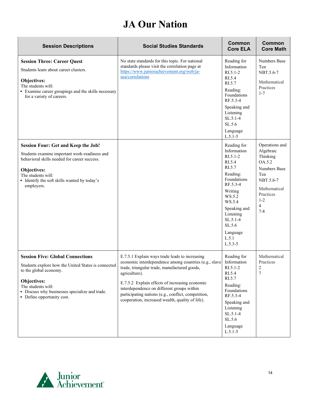# **JA Our Nation**

| <b>Session Descriptions</b>                                                                                                                                                                                                                   | <b>Social Studies Standards</b>                                                                                                                                                                                                                                                                                                                                                                 | <b>Common</b><br><b>Core ELA</b>                                                                                                                                                                                            | Common<br><b>Core Math</b>                                                                                                                           |
|-----------------------------------------------------------------------------------------------------------------------------------------------------------------------------------------------------------------------------------------------|-------------------------------------------------------------------------------------------------------------------------------------------------------------------------------------------------------------------------------------------------------------------------------------------------------------------------------------------------------------------------------------------------|-----------------------------------------------------------------------------------------------------------------------------------------------------------------------------------------------------------------------------|------------------------------------------------------------------------------------------------------------------------------------------------------|
| <b>Session Three: Career Quest</b><br>Students learn about career clusters.<br>Objectives:<br>The students will:<br>• Examine career groupings and the skills necessary<br>for a variety of careers.                                          | No state standards for this topic. For national<br>standards please visit the correlation page at<br>https://www.juniorachievement.org/web/ja-<br>usa/correlations                                                                                                                                                                                                                              | Reading for<br>Information<br>$RI.5.1 - 2$<br>RI.5.4<br>RI.5.7<br>Reading:<br>Foundations<br>RF.5.3-4<br>Speaking and<br>Listening<br>$SL.5.1-4$<br>SL.5.6<br>Language<br>$L.5.1 - 5$                                       | <b>Numbers Base</b><br>Ten<br>NBT.5.6-7<br>Mathematical<br>Practices<br>$1 - 7$                                                                      |
| Session Four: Get and Keep the Job!<br>Students examine important work-readiness and<br>behavioral skills needed for career success.<br>Objectives:<br>The students will:<br>• Identify the soft skills wanted by today's<br>employers.       |                                                                                                                                                                                                                                                                                                                                                                                                 | Reading for<br>Information<br>$RI.5.1 - 2$<br>RI.5.4<br>RI.5.7<br>Reading:<br>Foundations<br>RF.5.3-4<br>Writing<br>WS.5.2<br>WS.5.4<br>Speaking and<br>Listening<br>$SL.5.1-4$<br>SL.5.6<br>Language<br>L.5.1<br>$L.5.3-5$ | Operations and<br>Algebraic<br>Thinking<br>OA.5.2<br><b>Numbers Base</b><br>Ten<br>NBT.5.6-7<br>Mathematical<br>Practices<br>$1 - 2$<br>4<br>$7 - 8$ |
| <b>Session Five: Global Connections</b><br>Students explore how the United States is connected<br>to the global economy.<br>Objectives:<br>The students will:<br>· Discuss why businesses specialize and trade.<br>• Define opportunity cost. | E.7.5.1 Explain ways trade leads to increasing<br>economic interdependence among countries (e.g., slave Information<br>trade, triangular trade, manufactured goods,<br>agriculture).<br>E.7.5.2 Explain effects of increasing economic<br>interdependence on different groups within<br>participating nations (e.g., conflict, competition,<br>cooperation, increased wealth, quality of life). | Reading for<br>$RI.5.1-2$<br>RI.5.4<br>RI.5.7<br>Reading:<br>Foundations<br>RF.5.3-4<br>Speaking and<br>Listening<br>SL.5.1-4<br>SL.5.6<br>Language<br>$L.5.1-5$                                                            | Mathematical<br>Practices<br>$\overline{c}$<br>$\overline{7}$                                                                                        |

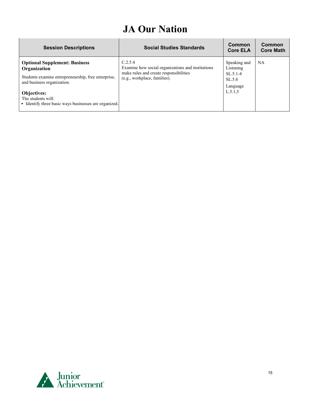# **JA Our Nation**

| <b>Session Descriptions</b>                                                                       | <b>Social Studies Standards</b>                                                                                                        | Common<br><b>Core ELA</b>        | Common<br><b>Core Math</b> |
|---------------------------------------------------------------------------------------------------|----------------------------------------------------------------------------------------------------------------------------------------|----------------------------------|----------------------------|
| <b>Optional Supplement: Business</b><br>Organization                                              | C.2.5.4<br>Examine how social organizations and institutions<br>make rules and create responsibilities<br>(e.g., workplace, families). | Speaking and<br>Listening        | <b>NA</b>                  |
| Students examine entrepreneurship, free enterprise,<br>and business organization.                 |                                                                                                                                        | $SL.5.1-4$<br>SL.5.6<br>Language |                            |
| <b>Objectives:</b><br>The students will:<br>• Identify three basic ways businesses are organized. |                                                                                                                                        | L.5.1,5                          |                            |

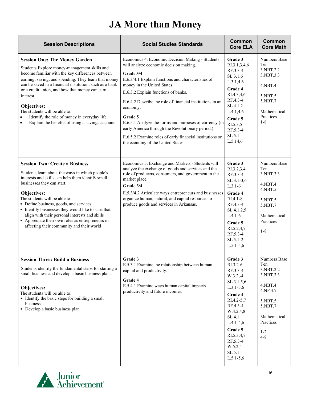# **JA More than Money**

<span id="page-15-0"></span>

| <b>Session Descriptions</b>                                                                                                                                                                                                                                                                                                                                                                                                                                                                | <b>Social Studies Standards</b>                                                                                                                                                                                                                                                                                                                                                                                                                                                                                                        | Common<br><b>Core ELA</b>                                                                                                                                                                                                      | Common<br><b>Core Math</b>                                                                                                                    |
|--------------------------------------------------------------------------------------------------------------------------------------------------------------------------------------------------------------------------------------------------------------------------------------------------------------------------------------------------------------------------------------------------------------------------------------------------------------------------------------------|----------------------------------------------------------------------------------------------------------------------------------------------------------------------------------------------------------------------------------------------------------------------------------------------------------------------------------------------------------------------------------------------------------------------------------------------------------------------------------------------------------------------------------------|--------------------------------------------------------------------------------------------------------------------------------------------------------------------------------------------------------------------------------|-----------------------------------------------------------------------------------------------------------------------------------------------|
| <b>Session One: The Money Garden</b><br>Students Explore money-management skills and<br>become familiar with the key differences between<br>earning, saving, and spending. They learn that money<br>can be saved in a financial institution, such as a bank<br>or a credit union, and how that money can earn<br>interest<br>Objectives:<br>The students will be able to:<br>Identify the role of money in everyday life.<br>Explain the benefits of using a savings account.<br>$\bullet$ | Economics 4. Economic Decision Making - Students<br>will analyze economic decision making.<br>Grade 3/4<br>E.6.3/4.1 Explain functions and characteristics of<br>money in the United States.<br>E.6.3.2 Explain functions of banks.<br>E.6.4.2 Describe the role of financial institutions in an<br>economy.<br>Grade 5<br>E.6.5.1 Analyze the forms and purposes of currency (in<br>early America through the Revolutionary period.)<br>E.6.5.2 Examine roles of early financial institutions on<br>the economy of the United States. | Grade 3<br>RI.3.1,3,4,6<br>RF.3.3-4<br>SL.3.1,6<br>L.3.1,4,6<br>Grade 4<br>RI.4.3,4,6<br>RF.4.3-4<br>SL.4.1,2<br>L.4.1,4,6<br>Grade 5<br>RI.5.3,5<br>RF.5.3-4<br>SL.5.1<br>L.5.14,6                                            | Numbers Base<br>Ten<br>3.NBT.2.2<br>3.NBT.3.3<br>4.NBT.4<br>5.NBT.5<br>5.NBT.7<br>Mathematical<br>Practices<br>$1 - 8$                        |
| <b>Session Two: Create a Business</b><br>Students learn about the ways in which people's<br>interests and skills can help them identify small<br>businesses they can start.<br>Objectives:<br>The students will be able to:<br>• Define business, goods, and services<br>• Identify businesses they would like to start that<br>align with their personal interests and skills<br>• Appreciate their own roles as entrepreneurs in<br>affecting their community and their world            | Economics 5. Exchange and Markets - Students will<br>analyze the exchange of goods and services and the<br>role of producers, consumers, and government in the<br>market place.<br>Grade 3/4<br>E.5.3/4.2 Articulate ways entrepreneurs and businesses<br>organize human, natural, and capital resources to<br>produce goods and services in Arkansas.                                                                                                                                                                                 | Grade 3<br>RI.3.2,3,4<br>RF.3.3-4<br>$SL.3.1-3,6$<br>$L.3.1-6$<br>Grade 4<br>$RI.4.1-8$<br>RF.4.3-4<br>SL.4.1,2,5<br>$L.4.1-6$<br>Grade 5<br>RI.5.2,4,7<br>RF.5.3-4<br>$SL.5.1-2$<br>$L.5.1-5,6$                               | <b>Numbers Base</b><br>Ten<br>3.NBT.3.3<br>4.NBT.4<br>$4.$ NBT $.5$<br>5.NBT.5<br>5.NBT.7<br>Mathematical<br>Practices<br>$1 - 8$             |
| <b>Session Three: Build a Business</b><br>Students identify the fundamental steps for starting a<br>small business and develop a basic business plan.<br>Objectives:<br>The students will be able to:<br>• Identify the basic steps for building a small<br>business<br>• Develop a basic business plan                                                                                                                                                                                    | Grade 3<br>E.5.3.1 Examine the relationship between human<br>capital and productivity.<br>Grade 4<br>E.5.4.1 Examine ways human capital impacts<br>productivity and future incomes.                                                                                                                                                                                                                                                                                                                                                    | Grade 3<br>RI.3.2-6<br>RF.3.3-4<br>$W.3.2,-4$<br>SL.3.1,5,6<br>$L.3.1-5,6$<br>Grade 4<br>RI.4.2-5,7<br>RF.4.3-4<br>W.4.2,4,8<br>SL.4.1<br>$L.4.1-4,6$<br>Grade 5<br>RI.5.3,4,7<br>RF.5.3-4<br>W.5.2,4<br>SL.5.1<br>$L.5.1-5,6$ | Numbers Base<br>Ten<br>3.NBT.2.2<br>3.NBT.3.3<br>4.NBT.4<br>4.NF.4.7<br>5.NBT.5<br>5.NBT.7<br>Mathematical<br>Practices<br>$1 - 2$<br>$4 - 8$ |